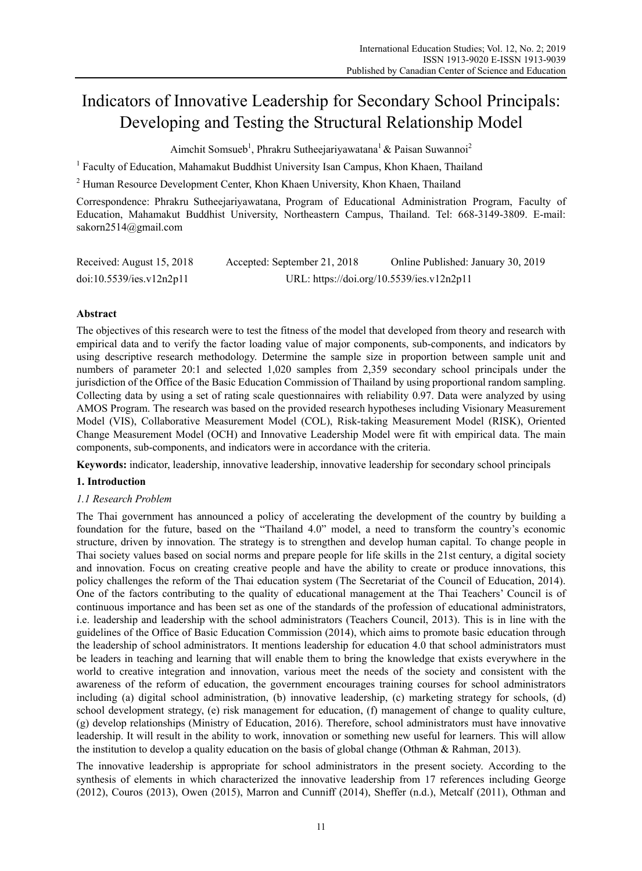# Indicators of Innovative Leadership for Secondary School Principals: Developing and Testing the Structural Relationship Model

Aimchit Somsueb<sup>1</sup>, Phrakru Sutheejariyawatana<sup>1</sup> & Paisan Suwannoi<sup>2</sup>

<sup>1</sup> Faculty of Education, Mahamakut Buddhist University Isan Campus, Khon Khaen, Thailand

<sup>2</sup> Human Resource Development Center, Khon Khaen University, Khon Khaen, Thailand

Correspondence: Phrakru Sutheejariyawatana, Program of Educational Administration Program, Faculty of Education, Mahamakut Buddhist University, Northeastern Campus, Thailand. Tel: 668-3149-3809. E-mail: sakorn2514@gmail.com

| Received: August 15, 2018 | Accepted: September 21, 2018              | Online Published: January 30, 2019 |  |
|---------------------------|-------------------------------------------|------------------------------------|--|
| doi:10.5539/ies.v12n2p11  | URL: https://doi.org/10.5539/ies.v12n2p11 |                                    |  |

# **Abstract**

The objectives of this research were to test the fitness of the model that developed from theory and research with empirical data and to verify the factor loading value of major components, sub-components, and indicators by using descriptive research methodology. Determine the sample size in proportion between sample unit and numbers of parameter 20:1 and selected 1,020 samples from 2,359 secondary school principals under the jurisdiction of the Office of the Basic Education Commission of Thailand by using proportional random sampling. Collecting data by using a set of rating scale questionnaires with reliability 0.97. Data were analyzed by using AMOS Program. The research was based on the provided research hypotheses including Visionary Measurement Model (VIS), Collaborative Measurement Model (COL), Risk-taking Measurement Model (RISK), Oriented Change Measurement Model (OCH) and Innovative Leadership Model were fit with empirical data. The main components, sub-components, and indicators were in accordance with the criteria.

**Keywords:** indicator, leadership, innovative leadership, innovative leadership for secondary school principals

## **1. Introduction**

## *1.1 Research Problem*

The Thai government has announced a policy of accelerating the development of the country by building a foundation for the future, based on the "Thailand 4.0" model, a need to transform the country's economic structure, driven by innovation. The strategy is to strengthen and develop human capital. To change people in Thai society values based on social norms and prepare people for life skills in the 21st century, a digital society and innovation. Focus on creating creative people and have the ability to create or produce innovations, this policy challenges the reform of the Thai education system (The Secretariat of the Council of Education, 2014). One of the factors contributing to the quality of educational management at the Thai Teachers' Council is of continuous importance and has been set as one of the standards of the profession of educational administrators, i.e. leadership and leadership with the school administrators (Teachers Council, 2013). This is in line with the guidelines of the Office of Basic Education Commission (2014), which aims to promote basic education through the leadership of school administrators. It mentions leadership for education 4.0 that school administrators must be leaders in teaching and learning that will enable them to bring the knowledge that exists everywhere in the world to creative integration and innovation, various meet the needs of the society and consistent with the awareness of the reform of education, the government encourages training courses for school administrators including (a) digital school administration, (b) innovative leadership, (c) marketing strategy for schools, (d) school development strategy, (e) risk management for education, (f) management of change to quality culture, (g) develop relationships (Ministry of Education, 2016). Therefore, school administrators must have innovative leadership. It will result in the ability to work, innovation or something new useful for learners. This will allow the institution to develop a quality education on the basis of global change (Othman & Rahman, 2013).

The innovative leadership is appropriate for school administrators in the present society. According to the synthesis of elements in which characterized the innovative leadership from 17 references including George (2012), Couros (2013), Owen (2015), Marron and Cunniff (2014), Sheffer (n.d.), Metcalf (2011), Othman and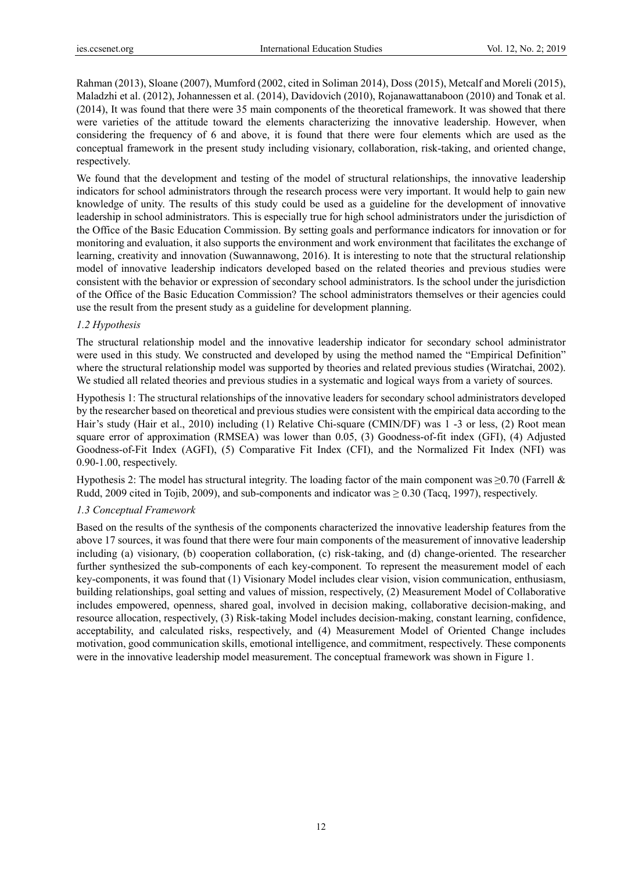Rahman (2013), Sloane (2007), Mumford (2002, cited in Soliman 2014), Doss (2015), Metcalf and Moreli (2015), Maladzhi et al. (2012), Johannessen et al. (2014), Davidovich (2010), Rojanawattanaboon (2010) and Tonak et al. (2014), It was found that there were 35 main components of the theoretical framework. It was showed that there were varieties of the attitude toward the elements characterizing the innovative leadership. However, when considering the frequency of 6 and above, it is found that there were four elements which are used as the conceptual framework in the present study including visionary, collaboration, risk-taking, and oriented change, respectively.

We found that the development and testing of the model of structural relationships, the innovative leadership indicators for school administrators through the research process were very important. It would help to gain new knowledge of unity. The results of this study could be used as a guideline for the development of innovative leadership in school administrators. This is especially true for high school administrators under the jurisdiction of the Office of the Basic Education Commission. By setting goals and performance indicators for innovation or for monitoring and evaluation, it also supports the environment and work environment that facilitates the exchange of learning, creativity and innovation (Suwannawong, 2016). It is interesting to note that the structural relationship model of innovative leadership indicators developed based on the related theories and previous studies were consistent with the behavior or expression of secondary school administrators. Is the school under the jurisdiction of the Office of the Basic Education Commission? The school administrators themselves or their agencies could use the result from the present study as a guideline for development planning.

## *1.2 Hypothesis*

The structural relationship model and the innovative leadership indicator for secondary school administrator were used in this study. We constructed and developed by using the method named the "Empirical Definition" where the structural relationship model was supported by theories and related previous studies (Wiratchai, 2002). We studied all related theories and previous studies in a systematic and logical ways from a variety of sources.

Hypothesis 1: The structural relationships of the innovative leaders for secondary school administrators developed by the researcher based on theoretical and previous studies were consistent with the empirical data according to the Hair's study (Hair et al., 2010) including (1) Relative Chi-square (CMIN/DF) was 1 -3 or less, (2) Root mean square error of approximation (RMSEA) was lower than 0.05, (3) Goodness-of-fit index (GFI), (4) Adjusted Goodness-of-Fit Index (AGFI), (5) Comparative Fit Index (CFI), and the Normalized Fit Index (NFI) was 0.90-1.00, respectively.

Hypothesis 2: The model has structural integrity. The loading factor of the main component was  $\geq$ 0.70 (Farrell & Rudd, 2009 cited in Tojib, 2009), and sub-components and indicator was  $\geq$  0.30 (Tacq, 1997), respectively.

## *1.3 Conceptual Framework*

Based on the results of the synthesis of the components characterized the innovative leadership features from the above 17 sources, it was found that there were four main components of the measurement of innovative leadership including (a) visionary, (b) cooperation collaboration, (c) risk-taking, and (d) change-oriented. The researcher further synthesized the sub-components of each key-component. To represent the measurement model of each key-components, it was found that (1) Visionary Model includes clear vision, vision communication, enthusiasm, building relationships, goal setting and values of mission, respectively, (2) Measurement Model of Collaborative includes empowered, openness, shared goal, involved in decision making, collaborative decision-making, and resource allocation, respectively, (3) Risk-taking Model includes decision-making, constant learning, confidence, acceptability, and calculated risks, respectively, and (4) Measurement Model of Oriented Change includes motivation, good communication skills, emotional intelligence, and commitment, respectively. These components were in the innovative leadership model measurement. The conceptual framework was shown in Figure 1.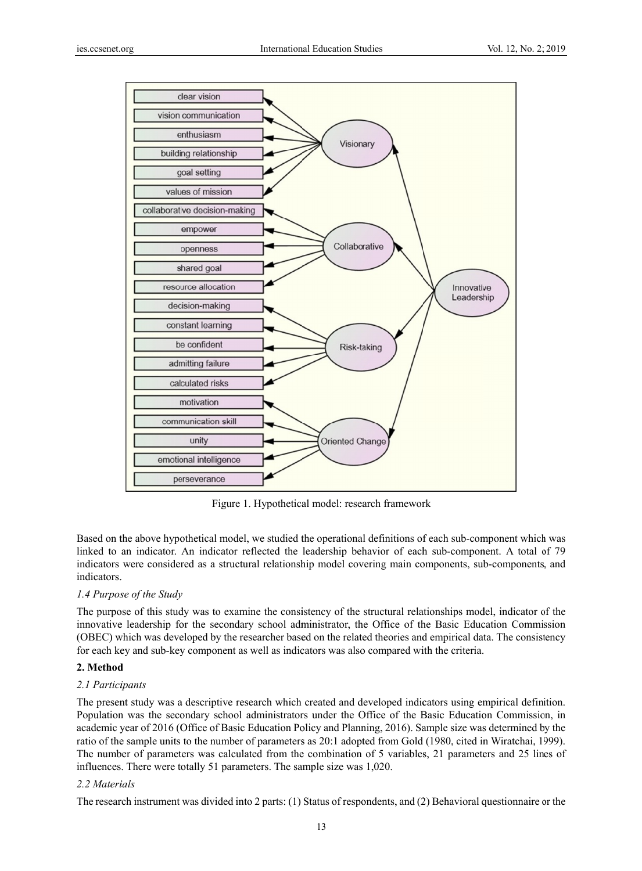

Figure 1. Hypothetical model: research framework

Based on the above hypothetical model, we studied the operational definitions of each sub-component which was linked to an indicator. An indicator reflected the leadership behavior of each sub-component. A total of 79 indicators were considered as a structural relationship model covering main components, sub-components, and indicators. .

## 1.4 Purpose of the Study

The purpose of this study was to examine the consistency of the structural relationships model, indicator of the innovative leadership for the secondary school administrator, the Office of the Basic Education Commission (OBEC) which was developed by the researcher based on the related theories and empirical data. The consistency for each key and sub-key component as well as indicators was also compared with the criteria.

#### **2. Method d**

#### *2.1 Partici ipants*

The present study was a descriptive research which created and developed indicators using empirical definition. Population was the secondary school administrators under the Office of the Basic Education Commission, in academic year of 2016 (Office of Basic Education Policy and Planning, 2016). Sample size was determined by the ratio of the sample units to the number of parameters as 20:1 adopted from Gold (1980, cited in Wiratchai, 1999). The number of parameters was calculated from the combination of 5 variables, 21 parameters and 25 lines of influences. There were totally 51 parameters. The sample size was 1,020.

### *2.2 Materi ials*

The research instrument was divided into 2 parts: (1) Status of respondents, and (2) Behavioral questionnaire or the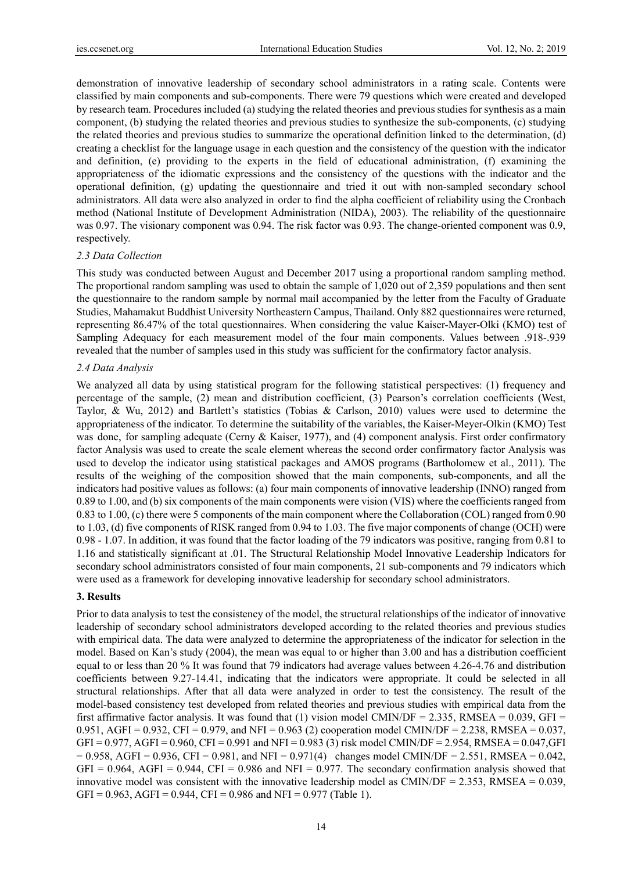demonstration of innovative leadership of secondary school administrators in a rating scale. Contents were classified by main components and sub-components. There were 79 questions which were created and developed by research team. Procedures included (a) studying the related theories and previous studies for synthesis as a main component, (b) studying the related theories and previous studies to synthesize the sub-components, (c) studying the related theories and previous studies to summarize the operational definition linked to the determination, (d) creating a checklist for the language usage in each question and the consistency of the question with the indicator and definition, (e) providing to the experts in the field of educational administration, (f) examining the appropriateness of the idiomatic expressions and the consistency of the questions with the indicator and the operational definition, (g) updating the questionnaire and tried it out with non-sampled secondary school administrators. All data were also analyzed in order to find the alpha coefficient of reliability using the Cronbach method (National Institute of Development Administration (NIDA), 2003). The reliability of the questionnaire was 0.97. The visionary component was 0.94. The risk factor was 0.93. The change-oriented component was 0.9, respectively.

#### *2.3 Data Collection*

This study was conducted between August and December 2017 using a proportional random sampling method. The proportional random sampling was used to obtain the sample of 1,020 out of 2,359 populations and then sent the questionnaire to the random sample by normal mail accompanied by the letter from the Faculty of Graduate Studies, Mahamakut Buddhist University Northeastern Campus, Thailand. Only 882 questionnaires were returned, representing 86.47% of the total questionnaires. When considering the value Kaiser-Mayer-Olki (KMO) test of Sampling Adequacy for each measurement model of the four main components. Values between .918-.939 revealed that the number of samples used in this study was sufficient for the confirmatory factor analysis.

### *2.4 Data Analysis*

We analyzed all data by using statistical program for the following statistical perspectives: (1) frequency and percentage of the sample, (2) mean and distribution coefficient, (3) Pearson's correlation coefficients (West, Taylor, & Wu, 2012) and Bartlett's statistics (Tobias & Carlson, 2010) values were used to determine the appropriateness of the indicator. To determine the suitability of the variables, the Kaiser-Meyer-Olkin (KMO) Test was done, for sampling adequate (Cerny & Kaiser, 1977), and (4) component analysis. First order confirmatory factor Analysis was used to create the scale element whereas the second order confirmatory factor Analysis was used to develop the indicator using statistical packages and AMOS programs (Bartholomew et al., 2011). The results of the weighing of the composition showed that the main components, sub-components, and all the indicators had positive values as follows: (a) four main components of innovative leadership (INNO) ranged from 0.89 to 1.00, and (b) six components of the main components were vision (VIS) where the coefficients ranged from 0.83 to 1.00, (c) there were 5 components of the main component where the Collaboration (COL) ranged from 0.90 to 1.03, (d) five components of RISK ranged from 0.94 to 1.03. The five major components of change (OCH) were 0.98 - 1.07. In addition, it was found that the factor loading of the 79 indicators was positive, ranging from 0.81 to 1.16 and statistically significant at .01. The Structural Relationship Model Innovative Leadership Indicators for secondary school administrators consisted of four main components, 21 sub-components and 79 indicators which were used as a framework for developing innovative leadership for secondary school administrators.

## **3. Results**

Prior to data analysis to test the consistency of the model, the structural relationships of the indicator of innovative leadership of secondary school administrators developed according to the related theories and previous studies with empirical data. The data were analyzed to determine the appropriateness of the indicator for selection in the model. Based on Kan's study (2004), the mean was equal to or higher than 3.00 and has a distribution coefficient equal to or less than 20 % It was found that 79 indicators had average values between 4.26-4.76 and distribution coefficients between 9.27-14.41, indicating that the indicators were appropriate. It could be selected in all structural relationships. After that all data were analyzed in order to test the consistency. The result of the model-based consistency test developed from related theories and previous studies with empirical data from the first affirmative factor analysis. It was found that (1) vision model CMIN/DF = 2.335, RMSEA =  $0.039$ , GFI = 0.951, AGFI = 0.932, CFI = 0.979, and NFI = 0.963 (2) cooperation model CMIN/DF = 2.238, RMSEA = 0.037,  $GFI = 0.977$ ,  $AGFI = 0.960$ ,  $CFI = 0.991$  and  $NFI = 0.983$  (3) risk model CMIN/DF = 2.954, RMSEA = 0.047, GFI  $= 0.958$ , AGFI = 0.936, CFI = 0.981, and NFI = 0.971(4) changes model CMIN/DF = 2.551, RMSEA = 0.042,  $GFI = 0.964$ , AGFI = 0.944, CFI = 0.986 and NFI = 0.977. The secondary confirmation analysis showed that innovative model was consistent with the innovative leadership model as CMIN/DF =  $2.353$ , RMSEA =  $0.039$ , GFI =  $0.963$ , AGFI =  $0.944$ , CFI =  $0.986$  and NFI =  $0.977$  (Table 1).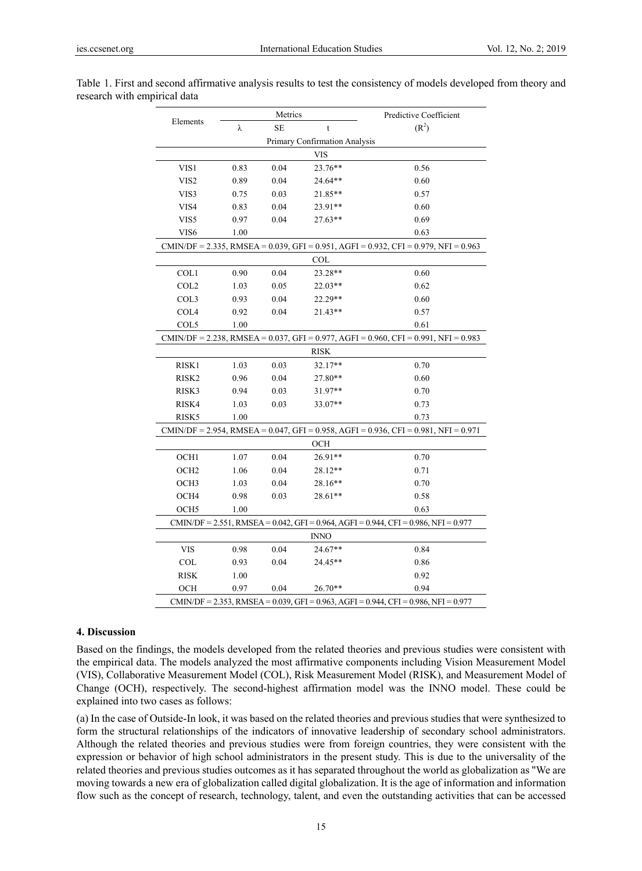| Elements                                                                               |      | Metrics   |             | Predictive Coefficient |  |
|----------------------------------------------------------------------------------------|------|-----------|-------------|------------------------|--|
|                                                                                        | λ    | <b>SE</b> | $\mathbf t$ | (R <sup>2</sup> )      |  |
| Primary Confirmation Analysis                                                          |      |           |             |                        |  |
| <b>VIS</b>                                                                             |      |           |             |                        |  |
| VIS1                                                                                   | 0.83 | 0.04      | 23.76**     | 0.56                   |  |
| VIS <sub>2</sub>                                                                       | 0.89 | 0.04      | 24.64**     | 0.60                   |  |
| VIS3                                                                                   | 0.75 | 0.03      | $21.85**$   | 0.57                   |  |
| VIS4                                                                                   | 0.83 | 0.04      | 23.91**     | 0.60                   |  |
| VIS5                                                                                   | 0.97 | 0.04      | $27.63**$   | 0.69                   |  |
| VIS <sub>6</sub>                                                                       | 1.00 |           |             | 0.63                   |  |
| $CMIN/DF = 2.335$ , RMSEA = 0.039, GFI = 0.951, AGFI = 0.932, CFI = 0.979, NFI = 0.963 |      |           |             |                        |  |
| <b>COL</b>                                                                             |      |           |             |                        |  |
| COL1                                                                                   | 0.90 | 0.04      | 23.28**     | 0.60                   |  |
| COL <sub>2</sub>                                                                       | 1.03 | 0.05      | 22.03**     | 0.62                   |  |
| COL3                                                                                   | 0.93 | 0.04      | 22.29**     | 0.60                   |  |
| COL <sub>4</sub>                                                                       | 0.92 | 0.04      | 21.43**     | 0.57                   |  |
| COL5                                                                                   | 1.00 |           |             | 0.61                   |  |
| $CMIN/DF = 2.238$ , RMSEA = 0.037, GFI = 0.977, AGFI = 0.960, CFI = 0.991, NFI = 0.983 |      |           |             |                        |  |
| <b>RISK</b>                                                                            |      |           |             |                        |  |
| RISK1                                                                                  | 1.03 | 0.03      | 32.17**     | 0.70                   |  |
| RISK <sub>2</sub>                                                                      | 0.96 | 0.04      | 27.80**     | 0.60                   |  |
| RISK3                                                                                  | 0.94 | 0.03      | 31.97**     | 0.70                   |  |
| RISK4                                                                                  | 1.03 | 0.03      | $33.07**$   | 0.73                   |  |
| RISK <sub>5</sub>                                                                      | 1.00 |           |             | 0.73                   |  |
| CMIN/DF = 2.954, RMSEA = 0.047, GFI = 0.958, AGFI = 0.936, CFI = 0.981, NFI = 0.971    |      |           |             |                        |  |
| OCH                                                                                    |      |           |             |                        |  |
| OCH1                                                                                   | 1.07 | 0.04      | 26.91**     | 0.70                   |  |
| OCH <sub>2</sub>                                                                       | 1.06 | 0.04      | 28.12**     | 0.71                   |  |
| OCH <sub>3</sub>                                                                       | 1.03 | 0.04      | 28.16**     | 0.70                   |  |
| OCH4                                                                                   | 0.98 | 0.03      | $28.61**$   | 0.58                   |  |
| OCH <sub>5</sub>                                                                       | 1.00 |           |             | 0.63                   |  |
| $CMIN/DF = 2.551$ , RMSEA = 0.042, GFI = 0.964, AGFI = 0.944, CFI = 0.986, NFI = 0.977 |      |           |             |                        |  |
| <b>INNO</b>                                                                            |      |           |             |                        |  |
| <b>VIS</b>                                                                             | 0.98 | 0.04      | $24.67**$   | 0.84                   |  |
| <b>COL</b>                                                                             | 0.93 | 0.04      | 24.45**     | 0.86                   |  |
| <b>RISK</b>                                                                            | 1.00 |           |             | 0.92                   |  |
| OCH                                                                                    | 0.97 | 0.04      | $26.70**$   | 0.94                   |  |
| CMIN/DF = 2.353, RMSEA = 0.039, GFI = 0.963, AGFI = 0.944, CFI = 0.986, NFI = 0.977    |      |           |             |                        |  |

Table 1. First and second affirmative analysis results to test the consistency of models developed from theory and research with empirical data

#### **4. Discussion**

Based on the findings, the models developed from the related theories and previous studies were consistent with the empirical data. The models analyzed the most affirmative components including Vision Measurement Model (VIS), Collaborative Measurement Model (COL), Risk Measurement Model (RISK), and Measurement Model of Change (OCH), respectively. The second-highest affirmation model was the INNO model. These could be explained into two cases as follows:

(a) In the case of Outside-In look, it was based on the related theories and previous studies that were synthesized to form the structural relationships of the indicators of innovative leadership of secondary school administrators. Although the related theories and previous studies were from foreign countries, they were consistent with the expression or behavior of high school administrators in the present study. This is due to the universality of the related theories and previous studies outcomes as it has separated throughout the world as globalization as "We are moving towards a new era of globalization called digital globalization. It is the age of information and information flow such as the concept of research, technology, talent, and even the outstanding activities that can be accessed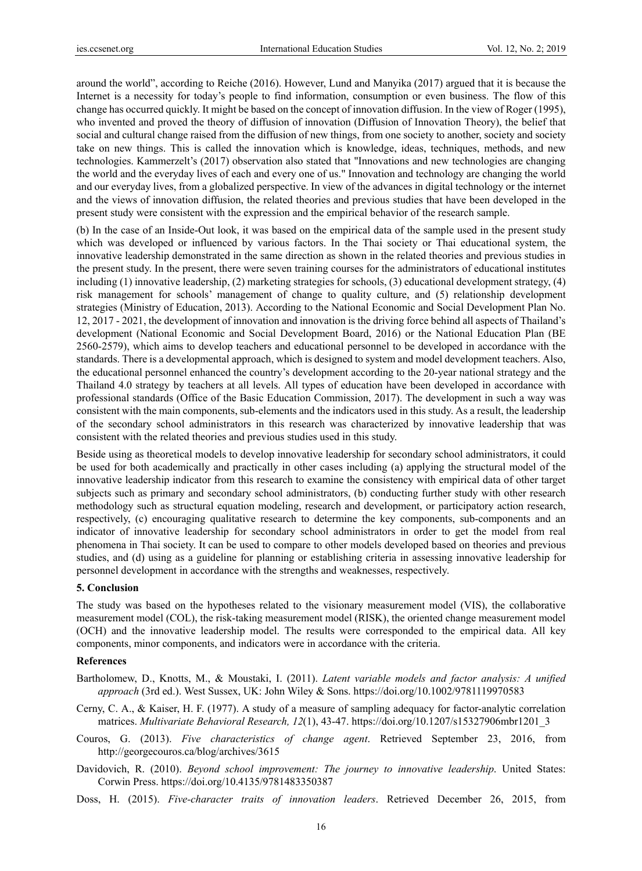around the world", according to Reiche (2016). However, Lund and Manyika (2017) argued that it is because the Internet is a necessity for today's people to find information, consumption or even business. The flow of this change has occurred quickly. It might be based on the concept of innovation diffusion. In the view of Roger (1995), who invented and proved the theory of diffusion of innovation (Diffusion of Innovation Theory), the belief that social and cultural change raised from the diffusion of new things, from one society to another, society and society take on new things. This is called the innovation which is knowledge, ideas, techniques, methods, and new technologies. Kammerzelt's (2017) observation also stated that "Innovations and new technologies are changing the world and the everyday lives of each and every one of us." Innovation and technology are changing the world and our everyday lives, from a globalized perspective. In view of the advances in digital technology or the internet and the views of innovation diffusion, the related theories and previous studies that have been developed in the present study were consistent with the expression and the empirical behavior of the research sample.

(b) In the case of an Inside-Out look, it was based on the empirical data of the sample used in the present study which was developed or influenced by various factors. In the Thai society or Thai educational system, the innovative leadership demonstrated in the same direction as shown in the related theories and previous studies in the present study. In the present, there were seven training courses for the administrators of educational institutes including (1) innovative leadership, (2) marketing strategies for schools, (3) educational development strategy, (4) risk management for schools' management of change to quality culture, and (5) relationship development strategies (Ministry of Education, 2013). According to the National Economic and Social Development Plan No. 12, 2017 - 2021, the development of innovation and innovation is the driving force behind all aspects of Thailand's development (National Economic and Social Development Board, 2016) or the National Education Plan (BE 2560-2579), which aims to develop teachers and educational personnel to be developed in accordance with the standards. There is a developmental approach, which is designed to system and model development teachers. Also, the educational personnel enhanced the country's development according to the 20-year national strategy and the Thailand 4.0 strategy by teachers at all levels. All types of education have been developed in accordance with professional standards (Office of the Basic Education Commission, 2017). The development in such a way was consistent with the main components, sub-elements and the indicators used in this study. As a result, the leadership of the secondary school administrators in this research was characterized by innovative leadership that was consistent with the related theories and previous studies used in this study.

Beside using as theoretical models to develop innovative leadership for secondary school administrators, it could be used for both academically and practically in other cases including (a) applying the structural model of the innovative leadership indicator from this research to examine the consistency with empirical data of other target subjects such as primary and secondary school administrators, (b) conducting further study with other research methodology such as structural equation modeling, research and development, or participatory action research, respectively, (c) encouraging qualitative research to determine the key components, sub-components and an indicator of innovative leadership for secondary school administrators in order to get the model from real phenomena in Thai society. It can be used to compare to other models developed based on theories and previous studies, and (d) using as a guideline for planning or establishing criteria in assessing innovative leadership for personnel development in accordance with the strengths and weaknesses, respectively.

#### **5. Conclusion**

The study was based on the hypotheses related to the visionary measurement model (VIS), the collaborative measurement model (COL), the risk-taking measurement model (RISK), the oriented change measurement model (OCH) and the innovative leadership model. The results were corresponded to the empirical data. All key components, minor components, and indicators were in accordance with the criteria.

### **References**

Bartholomew, D., Knotts, M., & Moustaki, I. (2011). *Latent variable models and factor analysis: A unified approach* (3rd ed.). West Sussex, UK: John Wiley & Sons. https://doi.org/10.1002/9781119970583

- Cerny, C. A., & Kaiser, H. F. (1977). A study of a measure of sampling adequacy for factor-analytic correlation matrices. *Multivariate Behavioral Research, 12*(1), 43-47. https://doi.org/10.1207/s15327906mbr1201\_3
- Couros, G. (2013). *Five characteristics of change agent*. Retrieved September 23, 2016, from http://georgecouros.ca/blog/archives/3615
- Davidovich, R. (2010). *Beyond school improvement: The journey to innovative leadership*. United States: Corwin Press. https://doi.org/10.4135/9781483350387
- Doss, H. (2015). *Five-character traits of innovation leaders*. Retrieved December 26, 2015, from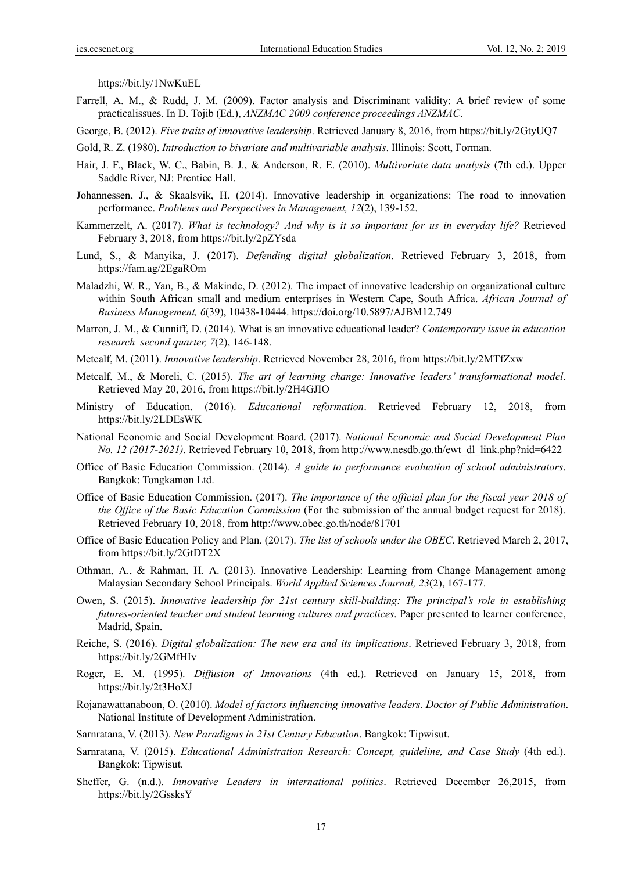https://bit.ly/1NwKuEL

- Farrell, A. M., & Rudd, J. M. (2009). Factor analysis and Discriminant validity: A brief review of some practicalissues. In D. Tojib (Ed.), *ANZMAC 2009 conference proceedings ANZMAC*.
- George, B. (2012). *Five traits of innovative leadership*. Retrieved January 8, 2016, from https://bit.ly/2GtyUQ7
- Gold, R. Z. (1980). *Introduction to bivariate and multivariable analysis*. Illinois: Scott, Forman.
- Hair, J. F., Black, W. C., Babin, B. J., & Anderson, R. E. (2010). *Multivariate data analysis* (7th ed.). Upper Saddle River, NJ: Prentice Hall.
- Johannessen, J., & Skaalsvik, H. (2014). Innovative leadership in organizations: The road to innovation performance. *Problems and Perspectives in Management, 12*(2), 139-152.
- Kammerzelt, A. (2017). *What is technology? And why is it so important for us in everyday life?* Retrieved February 3, 2018, from https://bit.ly/2pZYsda
- Lund, S., & Manyika, J. (2017). *Defending digital globalization*. Retrieved February 3, 2018, from https://fam.ag/2EgaROm
- Maladzhi, W. R., Yan, B., & Makinde, D. (2012). The impact of innovative leadership on organizational culture within South African small and medium enterprises in Western Cape, South Africa. *African Journal of Business Management, 6*(39), 10438-10444. https://doi.org/10.5897/AJBM12.749
- Marron, J. M., & Cunniff, D. (2014). What is an innovative educational leader? *Contemporary issue in education research–second quarter, 7*(2), 146-148.
- Metcalf, M. (2011). *Innovative leadership*. Retrieved November 28, 2016, from https://bit.ly/2MTfZxw
- Metcalf, M., & Moreli, C. (2015). *The art of learning change: Innovative leaders' transformational model*. Retrieved May 20, 2016, from https://bit.ly/2H4GJIO
- Ministry of Education. (2016). *Educational reformation*. Retrieved February 12, 2018, from https://bit.ly/2LDEsWK
- National Economic and Social Development Board. (2017). *National Economic and Social Development Plan No. 12 (2017-2021)*. Retrieved February 10, 2018, from http://www.nesdb.go.th/ewt\_dl\_link.php?nid=6422
- Office of Basic Education Commission. (2014). *A guide to performance evaluation of school administrators*. Bangkok: Tongkamon Ltd.
- Office of Basic Education Commission. (2017). *The importance of the official plan for the fiscal year 2018 of the Office of the Basic Education Commission* (For the submission of the annual budget request for 2018). Retrieved February 10, 2018, from http://www.obec.go.th/node/81701
- Office of Basic Education Policy and Plan. (2017). *The list of schools under the OBEC*. Retrieved March 2, 2017, from https://bit.ly/2GtDT2X
- Othman, A., & Rahman, H. A. (2013). Innovative Leadership: Learning from Change Management among Malaysian Secondary School Principals. *World Applied Sciences Journal, 23*(2), 167-177.
- Owen, S. (2015). *Innovative leadership for 21st century skill-building: The principal's role in establishing futures-oriented teacher and student learning cultures and practices*. Paper presented to learner conference, Madrid, Spain.
- Reiche, S. (2016). *Digital globalization: The new era and its implications*. Retrieved February 3, 2018, from https://bit.ly/2GMfHIv
- Roger, E. M. (1995). *Diffusion of Innovations* (4th ed.). Retrieved on January 15, 2018, from https://bit.ly/2t3HoXJ
- Rojanawattanaboon, O. (2010). *Model of factors influencing innovative leaders. Doctor of Public Administration*. National Institute of Development Administration.
- Sarnratana, V. (2013). *New Paradigms in 21st Century Education*. Bangkok: Tipwisut.
- Sarnratana, V. (2015). *Educational Administration Research: Concept, guideline, and Case Study* (4th ed.). Bangkok: Tipwisut.
- Sheffer, G. (n.d.). *Innovative Leaders in international politics*. Retrieved December 26,2015, from https://bit.ly/2GssksY